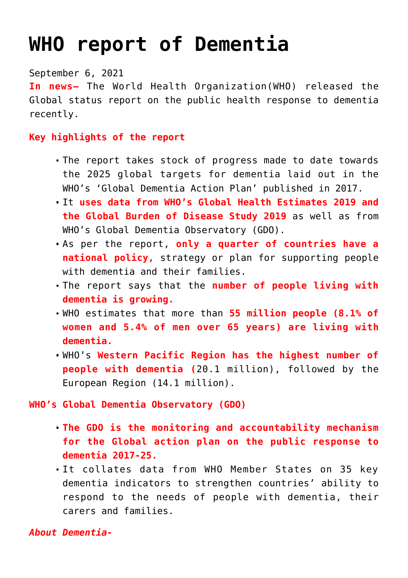## **[WHO report of Dementia](https://journalsofindia.com/who-report-of-dementia/)**

September 6, 2021

**In news–** The World Health Organization(WHO) released the Global status report on the public health response to dementia recently.

## **Key highlights of the report**

- The report takes stock of progress made to date towards the 2025 global targets for dementia laid out in the WHO's 'Global Dementia Action Plan' published in 2017.
- It **uses data from WHO's Global Health Estimates 2019 and the Global Burden of Disease Study 2019** as well as from WHO's Global Dementia Observatory (GDO).
- As per the report, **only a quarter of countries have a national policy,** strategy or plan for supporting people with dementia and their families.
- The report says that the **number of people living with dementia is growing.**
- WHO estimates that more than **55 million people (8.1% of women and 5.4% of men over 65 years) are living with dementia.**
- WHO's **Western Pacific Region has the highest number of people with dementia (**20.1 million), followed by the European Region (14.1 million).

## **WHO's Global Dementia Observatory (GDO)**

- **The GDO is the monitoring and accountability mechanism for the Global action plan on the public response to dementia 2017-25.**
- It collates data from WHO Member States on 35 key dementia indicators to strengthen countries' ability to respond to the needs of people with dementia, their carers and families.

## *About Dementia-*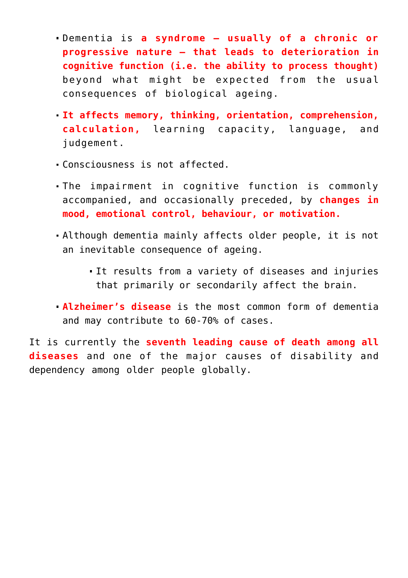- Dementia is **a syndrome usually of a chronic or progressive nature – that leads to deterioration in cognitive function (i.e. the ability to process thought)** beyond what might be expected from the usual consequences of biological ageing.
- **It affects memory, thinking, orientation, comprehension, calculation,** learning capacity, language, and judgement.
- Consciousness is not affected.
- The impairment in cognitive function is commonly accompanied, and occasionally preceded, by **changes in mood, emotional control, behaviour, or motivation.**
- Although dementia mainly affects older people, it is not an inevitable consequence of ageing.
	- It results from a variety of diseases and injuries that primarily or secondarily affect the brain.
- **Alzheimer's disease** is the most common form of dementia and may contribute to 60-70% of cases.

It is currently the **seventh leading cause of death among all diseases** and one of the major causes of disability and dependency among older people globally.